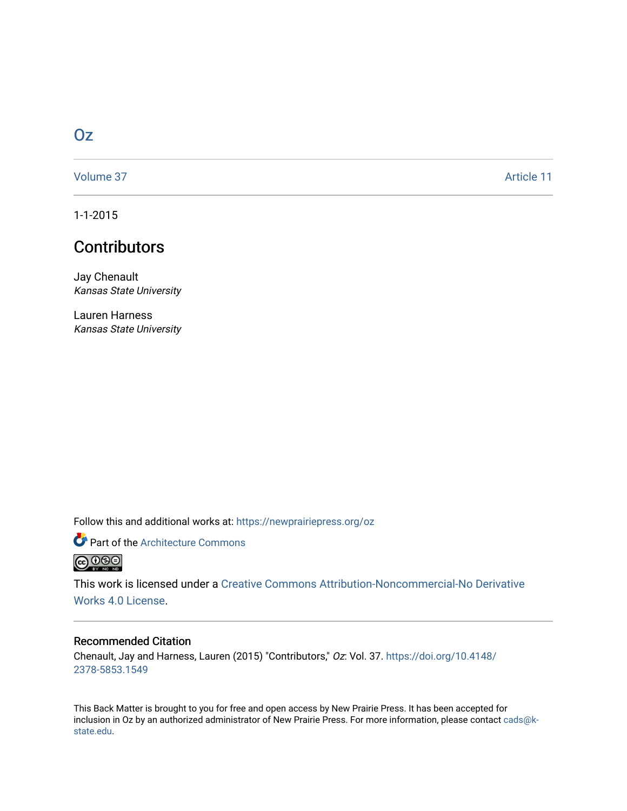# [Oz](https://newprairiepress.org/oz)

[Volume 37](https://newprairiepress.org/oz/vol37) Article 11

1-1-2015

# **Contributors**

Jay Chenault Kansas State University

Lauren Harness Kansas State University

Follow this and additional works at: [https://newprairiepress.org/oz](https://newprairiepress.org/oz?utm_source=newprairiepress.org%2Foz%2Fvol37%2Fiss1%2F11&utm_medium=PDF&utm_campaign=PDFCoverPages) 

**Part of the Architecture Commons**  $\bigodot$   $\bigodot$   $\bigodot$ 

This work is licensed under a [Creative Commons Attribution-Noncommercial-No Derivative](https://creativecommons.org/licenses/by-nc-nd/4.0/)  [Works 4.0 License](https://creativecommons.org/licenses/by-nc-nd/4.0/).

### Recommended Citation

Chenault, Jay and Harness, Lauren (2015) "Contributors," Oz: Vol. 37. [https://doi.org/10.4148/](https://doi.org/10.4148/2378-5853.1549) [2378-5853.1549](https://doi.org/10.4148/2378-5853.1549) 

This Back Matter is brought to you for free and open access by New Prairie Press. It has been accepted for inclusion in Oz by an authorized administrator of New Prairie Press. For more information, please contact [cads@k](mailto:cads@k-state.edu)[state.edu](mailto:cads@k-state.edu).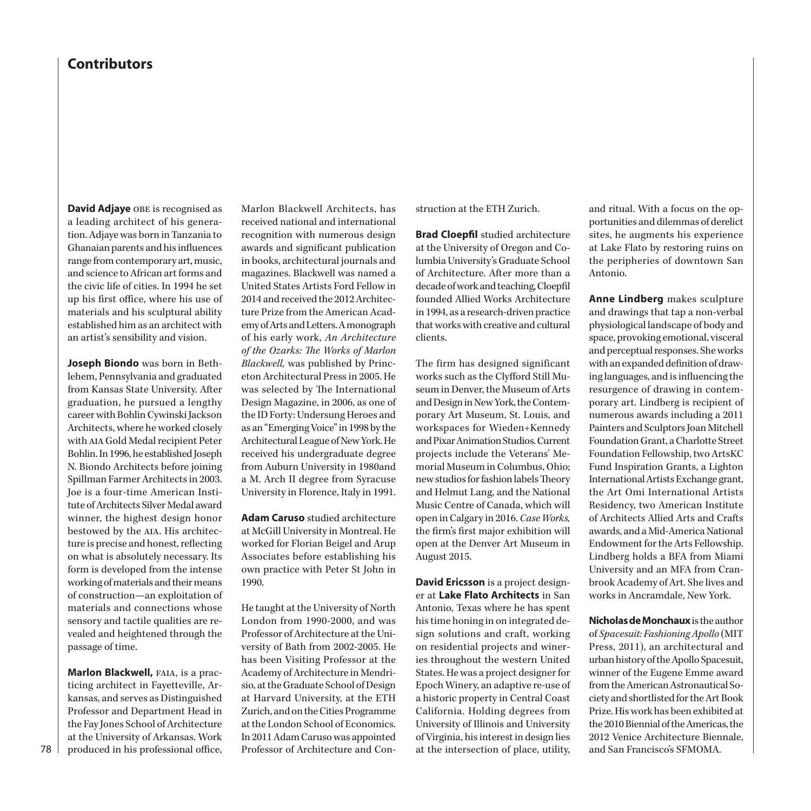## **Contributors**

**David Adjaye** obe is recognised as a leading architect of his generation. Adjaye was born in Tanzania to Ghanaian parents and his influences range from contemporary art, music, and science to African art forms and the civic life of cities. In 1994 he set up his first office, where his use of materials and his sculptural ability established him as an architect with an artist's sensibility and vision.

**Joseph Biondo** was born in Bethlehem, Pennsylvania and graduated from Kansas State University. After graduation, he pursued a lengthy career with Bohlin Cywinski Jackson Architects, where he worked closely with aia Gold Medal recipient Peter Bohlin. In 1996, he established Joseph N. Biondo Architects before joining Spillman Farmer Architects in 2003. Joe is a four-time American Institute of Architects Silver Medal award winner, the highest design honor bestowed by the AIA. His architecture is precise and honest, reflecting on what is absolutely necessary. Its form is developed from the intense working of materials and their means of construction—an exploitation of materials and connections whose sensory and tactile qualities are revealed and heightened through the passage of time.

**Marlon Blackwell, FAIA, is a prac**ticing architect in Fayetteville, Arkansas, and serves as Distinguished Professor and Department Head in the Fay Jones School of Architecture at the University of Arkansas. Work produced in his professional office, Marlon Blackwell Architects, has received national and international recognition with numerous design awards and significant publication in books, architectural journals and magazines. Blackwell was named a United States Artists Ford Fellow in 2014 and received the 2012 Architecture Prize from the American Academy of Arts and Letters. A monograph of his early work, *An Architecture of the Ozarks: The Works of Marlon Blackwell,* was published by Princeton Architectural Press in 2005. He was selected by The International Design Magazine, in 2006, as one of the ID Forty: Undersung Heroes and as an "Emerging Voice" in 1998 by the Architectural League of New York. He received his undergraduate degree from Auburn University in 1980and a M. Arch II degree from Syracuse University in Florence, Italy in 1991.

**Adam Caruso** studied architecture at McGill University in Montreal. He worked for Florian Beigel and Arup Associates before establishing his own practice with Peter St John in 1990.

He taught at the University of North London from 1990-2000, and was Professor of Architecture at the University of Bath from 2002-2005. He has been Visiting Professor at the Academy of Architecture in Mendrisio, at the Graduate School of Design at Harvard University, at the ETH Zurich, and on the Cities Programme at the London School of Economics. In 2011 Adam Caruso was appointed Professor of Architecture and Construction at the ETH Zurich.

**Brad Cloepfil** studied architecture at the University of Oregon and Columbia University's Graduate School of Architecture. After more than a decade of work and teaching, Cloepfil founded Allied Works Architecture in 1994, as a research-driven practice that works with creative and cultural clients.

The firm has designed significant works such as the Clyfford Still Museum in Denver, the Museum of Arts and Design in New York, the Contemporary Art Museum, St. Louis, and workspaces for Wieden+Kennedy and Pixar Animation Studios. Current projects include the Veterans' Memorial Museum in Columbus, Ohio; new studios for fashion labels Theory and Helmut Lang, and the National Music Centre of Canada, which will open in Calgary in 2016. *Case Works,* the firm's first major exhibition will open at the Denver Art Museum in August 2015.

**David Ericsson** is a project designer at **Lake Flato Architects** in San Antonio, Texas where he has spent his time honing in on integrated design solutions and craft, working on residential projects and wineries throughout the western United States. He was a project designer for Epoch Winery, an adaptive re-use of a historic property in Central Coast California. Holding degrees from University of Illinois and University of Virginia, his interest in design lies at the intersection of place, utility,

and ritual. With a focus on the opportunities and dilemmas of derelict sites, he augments his experience at Lake Flato by restoring ruins on the peripheries of downtown San Antonio.

**Anne Lindberg** makes sculpture and drawings that tap a non-verbal physiological landscape of body and space, provoking emotional, visceral and perceptual responses. She works with an expanded definition of drawing languages, and is influencing the resurgence of drawing in contemporary art. Lindberg is recipient of numerous awards including a 2011 Painters and Sculptors Joan Mitchell Foundation Grant, a Charlotte Street Foundation Fellowship, two ArtsKC Fund Inspiration Grants, a Lighton International Artists Exchange grant, the Art Omi International Artists Residency, two American Institute of Architects Allied Arts and Crafts awards, and a Mid-America National Endowment for the Arts Fellowship. Lindberg holds a BFA from Miami University and an MFA from Cranbrook Academy of Art. She lives and works in Ancramdale, New York.

**Nicholas de Monchaux** is the author of *Spacesuit: Fashioning Apollo* (MIT Press, 2011), an architectural and urban history of the Apollo Spacesuit, winner of the Eugene Emme award from the American Astronautical Society and shortlisted for the Art Book Prize. His work has been exhibited at the 2010 Biennial of the Americas, the 2012 Venice Architecture Biennale, and San Francisco's SFMOMA.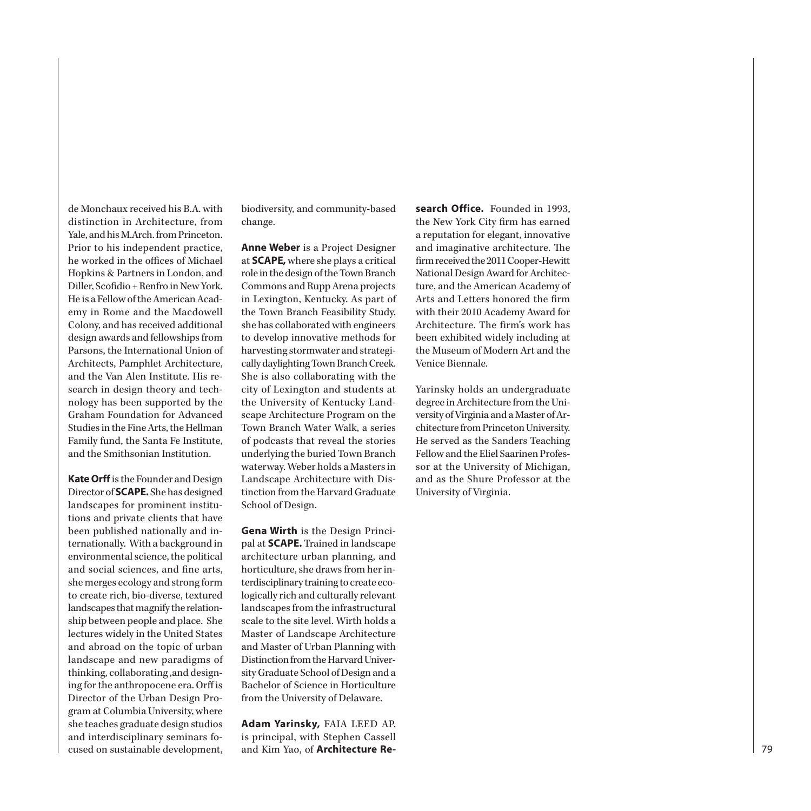de Monchaux received his B.A. with distinction in Architecture, from Yale, and his M.Arch. from Princeton. Prior to his independent practice, he worked in the offices of Michael Hopkins & Partners in London, and Diller, Scofidio + Renfro in New York. He is a Fellow of the American Acad emy in Rome and the Macdowell Colony, and has received additional design awards and fellowships from Parsons, the International Union of Architects, Pamphlet Architecture, and the Van Alen Institute. His re search in design theory and tech nology has been supported by the Graham Foundation for Advanced Studies in the Fine Arts, the Hellman Family fund, the Santa Fe Institute, and the Smithsonian Institution.

**Kate Orff** is the Founder and Design Director of **SCAPE.** She has designed landscapes for prominent institu tions and private clients that have been published nationally and in ternationally. With a background in environmental science, the political and social sciences, and fine arts, she merges ecology and strong form to create rich, bio-diverse, textured landscapes that magnify the relation ship between people and place. She lectures widely in the United States and abroad on the topic of urban landscape and new paradigms of thinking, collaborating ,and design ing for the anthropocene era. Orff is Director of the Urban Design Pro gram at Columbia University, where she teaches graduate design studios and interdisciplinary seminars fo cused on sustainable development,

biodiversity, and community-based change.

**Anne Weber** is a Project Designer at **SCAPE,** where she plays a critical role in the design of the Town Branch Commons and Rupp Arena projects in Lexington, Kentucky. As part of the Town Branch Feasibility Study, she has collaborated with engineers to develop innovative methods for harvesting stormwater and strategi cally daylighting Town Branch Creek. She is also collaborating with the city of Lexington and students at the University of Kentucky Land scape Architecture Program on the Town Branch Water Walk, a series of podcasts that reveal the stories underlying the buried Town Branch waterway. Weber holds a Masters in Landscape Architecture with Dis tinction from the Harvard Graduate School of Design.

**Gena Wirth** is the Design Princi pal at **SCAPE.** Trained in landscape architecture urban planning, and horticulture, she draws from her in terdisciplinary training to create eco logically rich and culturally relevant landscapes from the infrastructural scale to the site level. Wirth holds a Master of Landscape Architecture and Master of Urban Planning with Distinction from the Harvard Univer sity Graduate School of Design and a Bachelor of Science in Horticulture from the University of Delaware.

**Adam Yarinsky,** FAIA LEED AP, is principal, with Stephen Cassell and Kim Yao, of **Architecture Re -**

**search Office.** Founded in 1993, the New York City firm has earned a reputation for elegant, innovative and imaginative architecture. The firm received the 2011 Cooper-Hewitt National Design Award for Architec ture, and the American Academy of Arts and Letters honored the firm with their 2010 Academy Award for Architecture. The firm's work has been exhibited widely including at the Museum of Modern Art and the Venice Biennale.

Yarinsky holds an undergraduate degree in Architecture from the Uni versity of Virginia and a Master of Ar chitecture from Princeton University. He served as the Sanders Teaching Fellow and the Eliel Saarinen Profes sor at the University of Michigan, and as the Shure Professor at the University of Virginia.